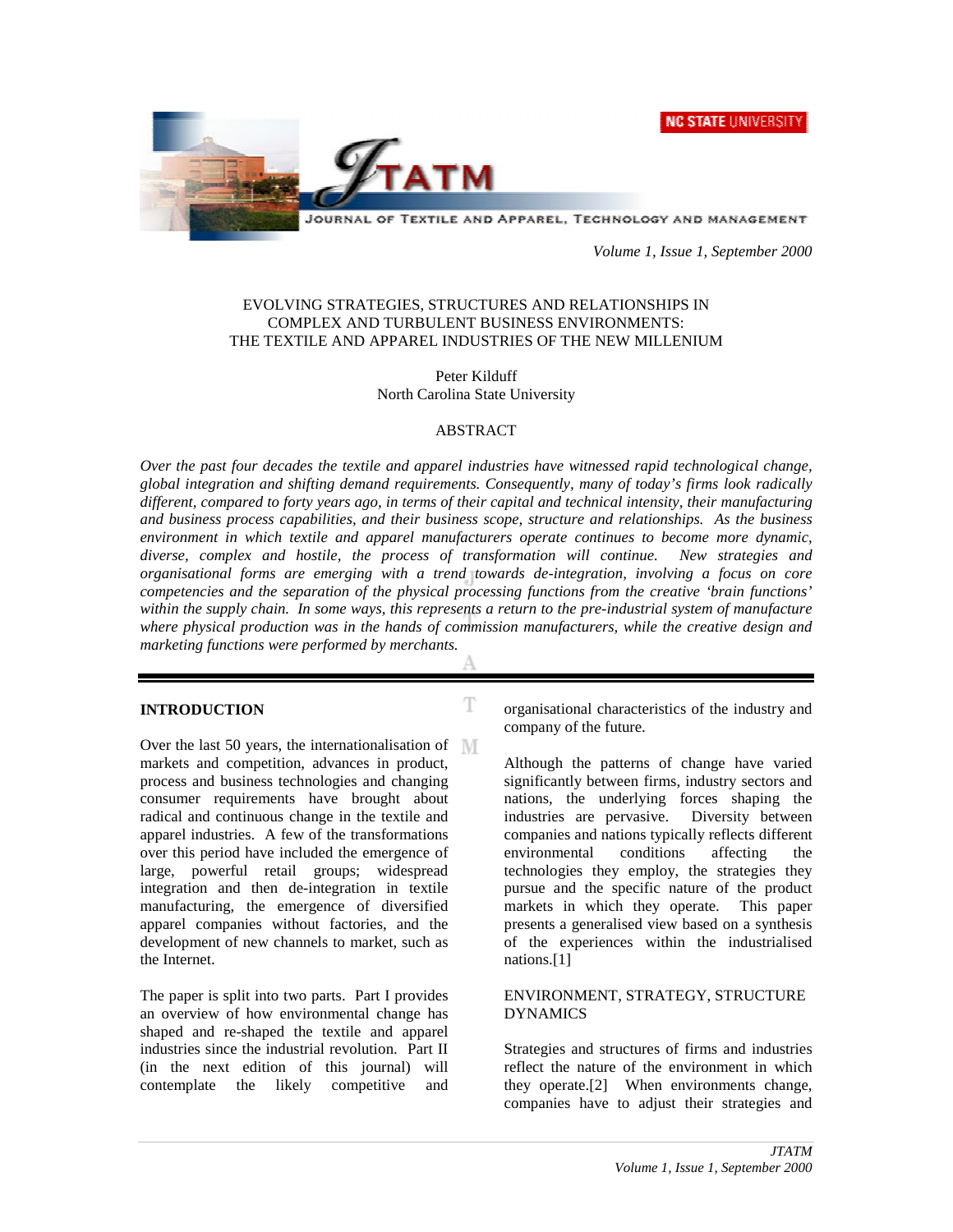**NC STATE UNIVERSITY** 



JOURNAL OF TEXTILE AND APPAREL, TECHNOLOGY AND MANAGEMENT

*Volume 1, Issue 1, September 2000*

#### EVOLVING STRATEGIES, STRUCTURES AND RELATIONSHIPS IN COMPLEX AND TURBULENT BUSINESS ENVIRONMENTS: THE TEXTILE AND APPAREL INDUSTRIES OF THE NEW MILLENIUM

#### Peter Kilduff North Carolina State University

#### ABSTRACT

*Over the past four decades the textile and apparel industries have witnessed rapid technological change, global integration and shifting demand requirements. Consequently, many of today's firms look radically different, compared to forty years ago, in terms of their capital and technical intensity, their manufacturing and business process capabilities, and their business scope, structure and relationships. As the business environment in which textile and apparel manufacturers operate continues to become more dynamic, diverse, complex and hostile, the process of transformation will continue. New strategies and organisational forms are emerging with a trend towards de-integration, involving a focus on core competencies and the separation of the physical processing functions from the creative 'brain functions' within the supply chain. In some ways, this represents a return to the pre-industrial system of manufacture where physical production was in the hands of commission manufacturers, while the creative design and marketing functions were performed by merchants.*

T

#### **INTRODUCTION**

Over the last 50 years, the internationalisation of markets and competition, advances in product, process and business technologies and changing consumer requirements have brought about radical and continuous change in the textile and apparel industries. A few of the transformations over this period have included the emergence of large, powerful retail groups; widespread integration and then de-integration in textile manufacturing, the emergence of diversified apparel companies without factories, and the development of new channels to market, such as the Internet.

The paper is split into two parts. Part I provides an overview of how environmental change has shaped and re-shaped the textile and apparel industries since the industrial revolution. Part II (in the next edition of this journal) will contemplate the likely competitive and

organisational characteristics of the industry and company of the future.

Although the patterns of change have varied significantly between firms, industry sectors and nations, the underlying forces shaping the industries are pervasive. Diversity between companies and nations typically reflects different environmental conditions affecting the technologies they employ, the strategies they pursue and the specific nature of the product markets in which they operate. This paper presents a generalised view based on a synthesis of the experiences within the industrialised nations.[1]

#### ENVIRONMENT, STRATEGY, STRUCTURE DYNAMICS

Strategies and structures of firms and industries reflect the nature of the environment in which they operate.[2] When environments change, companies have to adjust their strategies and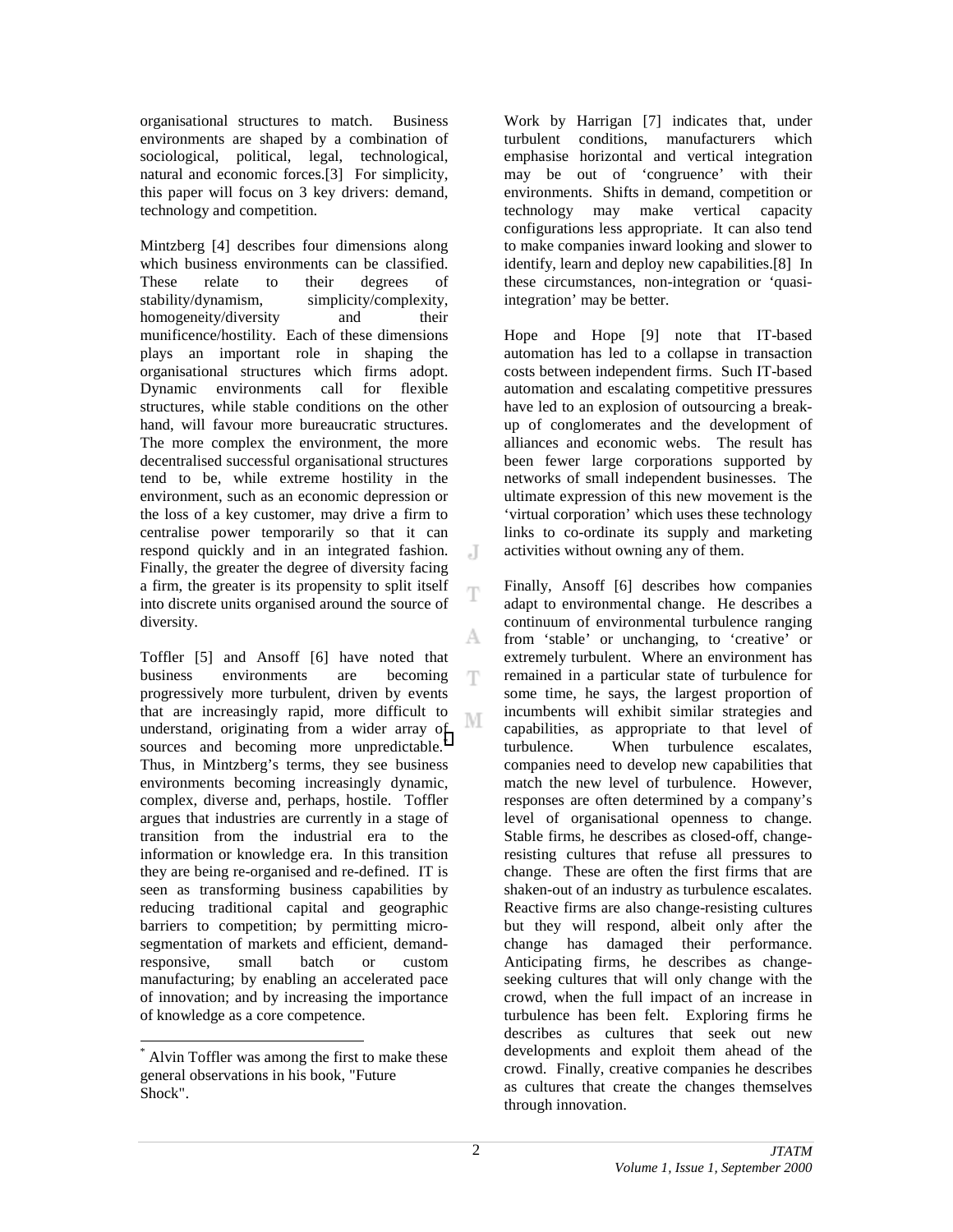organisational structures to match. Business environments are shaped by a combination of sociological, political, legal, technological, natural and economic forces.[3] For simplicity, this paper will focus on 3 key drivers: demand, technology and competition.

Mintzberg [4] describes four dimensions along which business environments can be classified. These relate to their degrees of stability/dynamism, simplicity/complexity, homogeneity/diversity and their munificence/hostility. Each of these dimensions plays an important role in shaping the organisational structures which firms adopt. Dynamic environments call for flexible structures, while stable conditions on the other hand, will favour more bureaucratic structures. The more complex the environment, the more decentralised successful organisational structures tend to be, while extreme hostility in the environment, such as an economic depression or the loss of a key customer, may drive a firm to centralise power temporarily so that it can respond quickly and in an integrated fashion. Finally, the greater the degree of diversity facing a firm, the greater is its propensity to split itself into discrete units organised around the source of diversity.

Toffler [5] and Ansoff [6] have noted that business environments are becoming progressively more turbulent, driven by events that are increasingly rapid, more difficult to М understand, originating from a wider array of sources and becoming more unpredictable.<sup>\*</sup> Thus, in Mintzberg's terms, they see business environments becoming increasingly dynamic, complex, diverse and, perhaps, hostile. Toffler argues that industries are currently in a stage of transition from the industrial era to the information or knowledge era. In this transition they are being re-organised and re-defined. IT is seen as transforming business capabilities by reducing traditional capital and geographic barriers to competition; by permitting microsegmentation of markets and efficient, demandresponsive, small batch or custom manufacturing; by enabling an accelerated pace of innovation; and by increasing the importance of knowledge as a core competence.

\* Alvin Toffler was among the first to make these general observations in his book, "Future Shock".

l

Work by Harrigan [7] indicates that, under turbulent conditions, manufacturers which emphasise horizontal and vertical integration may be out of 'congruence' with their environments. Shifts in demand, competition or technology may make vertical capacity configurations less appropriate. It can also tend to make companies inward looking and slower to identify, learn and deploy new capabilities.[8] In these circumstances, non-integration or 'quasiintegration' may be better.

Hope and Hope [9] note that IT-based automation has led to a collapse in transaction costs between independent firms. Such IT-based automation and escalating competitive pressures have led to an explosion of outsourcing a breakup of conglomerates and the development of alliances and economic webs. The result has been fewer large corporations supported by networks of small independent businesses. The ultimate expression of this new movement is the 'virtual corporation' which uses these technology links to co-ordinate its supply and marketing activities without owning any of them.

Finally, Ansoff [6] describes how companies adapt to environmental change. He describes a continuum of environmental turbulence ranging from 'stable' or unchanging, to 'creative' or extremely turbulent. Where an environment has remained in a particular state of turbulence for some time, he says, the largest proportion of incumbents will exhibit similar strategies and capabilities, as appropriate to that level of turbulence. When turbulence escalates, companies need to develop new capabilities that match the new level of turbulence. However, responses are often determined by a company's level of organisational openness to change. Stable firms, he describes as closed-off, changeresisting cultures that refuse all pressures to change. These are often the first firms that are shaken-out of an industry as turbulence escalates. Reactive firms are also change-resisting cultures but they will respond, albeit only after the change has damaged their performance. Anticipating firms, he describes as changeseeking cultures that will only change with the crowd, when the full impact of an increase in turbulence has been felt. Exploring firms he describes as cultures that seek out new developments and exploit them ahead of the crowd. Finally, creative companies he describes as cultures that create the changes themselves through innovation.

J

Ŧ

A

T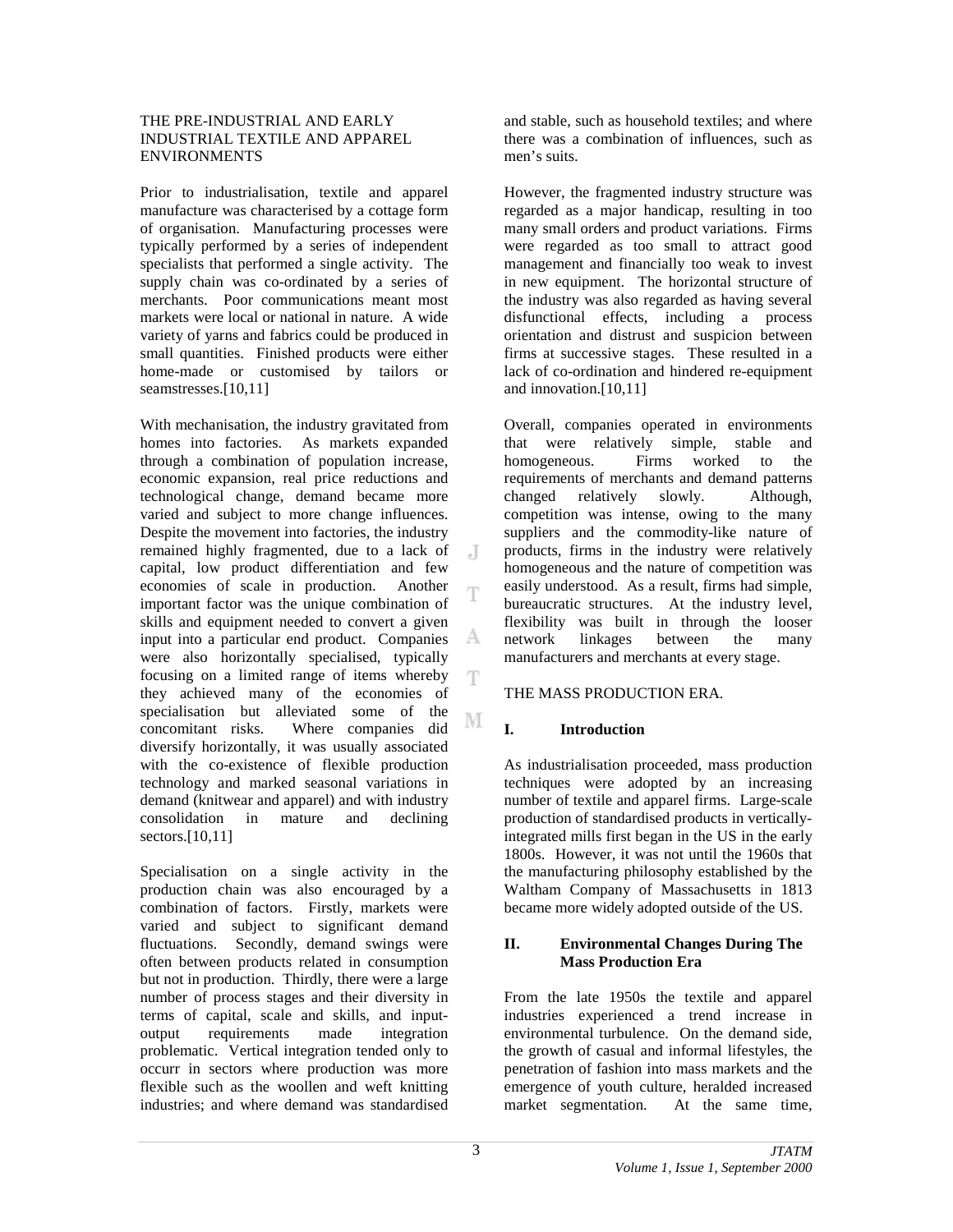#### THE PRE-INDUSTRIAL AND EARLY INDUSTRIAL TEXTILE AND APPAREL ENVIRONMENTS

Prior to industrialisation, textile and apparel manufacture was characterised by a cottage form of organisation. Manufacturing processes were typically performed by a series of independent specialists that performed a single activity. The supply chain was co-ordinated by a series of merchants. Poor communications meant most markets were local or national in nature. A wide variety of yarns and fabrics could be produced in small quantities. Finished products were either home-made or customised by tailors or seamstresses.[10,11]

With mechanisation, the industry gravitated from homes into factories. As markets expanded through a combination of population increase, economic expansion, real price reductions and technological change, demand became more varied and subject to more change influences. Despite the movement into factories, the industry remained highly fragmented, due to a lack of J capital, low product differentiation and few economies of scale in production. Another Ŧ important factor was the unique combination of skills and equipment needed to convert a given input into a particular end product. Companies A were also horizontally specialised, typically focusing on a limited range of items whereby Ŧ they achieved many of the economies of specialisation but alleviated some of the М concomitant risks. Where companies did diversify horizontally, it was usually associated with the co-existence of flexible production technology and marked seasonal variations in demand (knitwear and apparel) and with industry consolidation in mature and declining sectors.[10,11]

Specialisation on a single activity in the production chain was also encouraged by a combination of factors. Firstly, markets were varied and subject to significant demand fluctuations. Secondly, demand swings were often between products related in consumption but not in production. Thirdly, there were a large number of process stages and their diversity in terms of capital, scale and skills, and inputoutput requirements made integration problematic. Vertical integration tended only to occurr in sectors where production was more flexible such as the woollen and weft knitting industries; and where demand was standardised

and stable, such as household textiles; and where there was a combination of influences, such as men's suits.

However, the fragmented industry structure was regarded as a major handicap, resulting in too many small orders and product variations. Firms were regarded as too small to attract good management and financially too weak to invest in new equipment. The horizontal structure of the industry was also regarded as having several disfunctional effects, including a process orientation and distrust and suspicion between firms at successive stages. These resulted in a lack of co-ordination and hindered re-equipment and innovation.[10,11]

Overall, companies operated in environments that were relatively simple, stable and homogeneous. Firms worked to the requirements of merchants and demand patterns changed relatively slowly. Although, competition was intense, owing to the many suppliers and the commodity-like nature of products, firms in the industry were relatively homogeneous and the nature of competition was easily understood. As a result, firms had simple, bureaucratic structures. At the industry level, flexibility was built in through the looser network linkages between the many manufacturers and merchants at every stage.

## THE MASS PRODUCTION ERA.

## **I. Introduction**

As industrialisation proceeded, mass production techniques were adopted by an increasing number of textile and apparel firms. Large-scale production of standardised products in verticallyintegrated mills first began in the US in the early 1800s. However, it was not until the 1960s that the manufacturing philosophy established by the Waltham Company of Massachusetts in 1813 became more widely adopted outside of the US.

#### **II. Environmental Changes During The Mass Production Era**

From the late 1950s the textile and apparel industries experienced a trend increase in environmental turbulence. On the demand side, the growth of casual and informal lifestyles, the penetration of fashion into mass markets and the emergence of youth culture, heralded increased market segmentation. At the same time,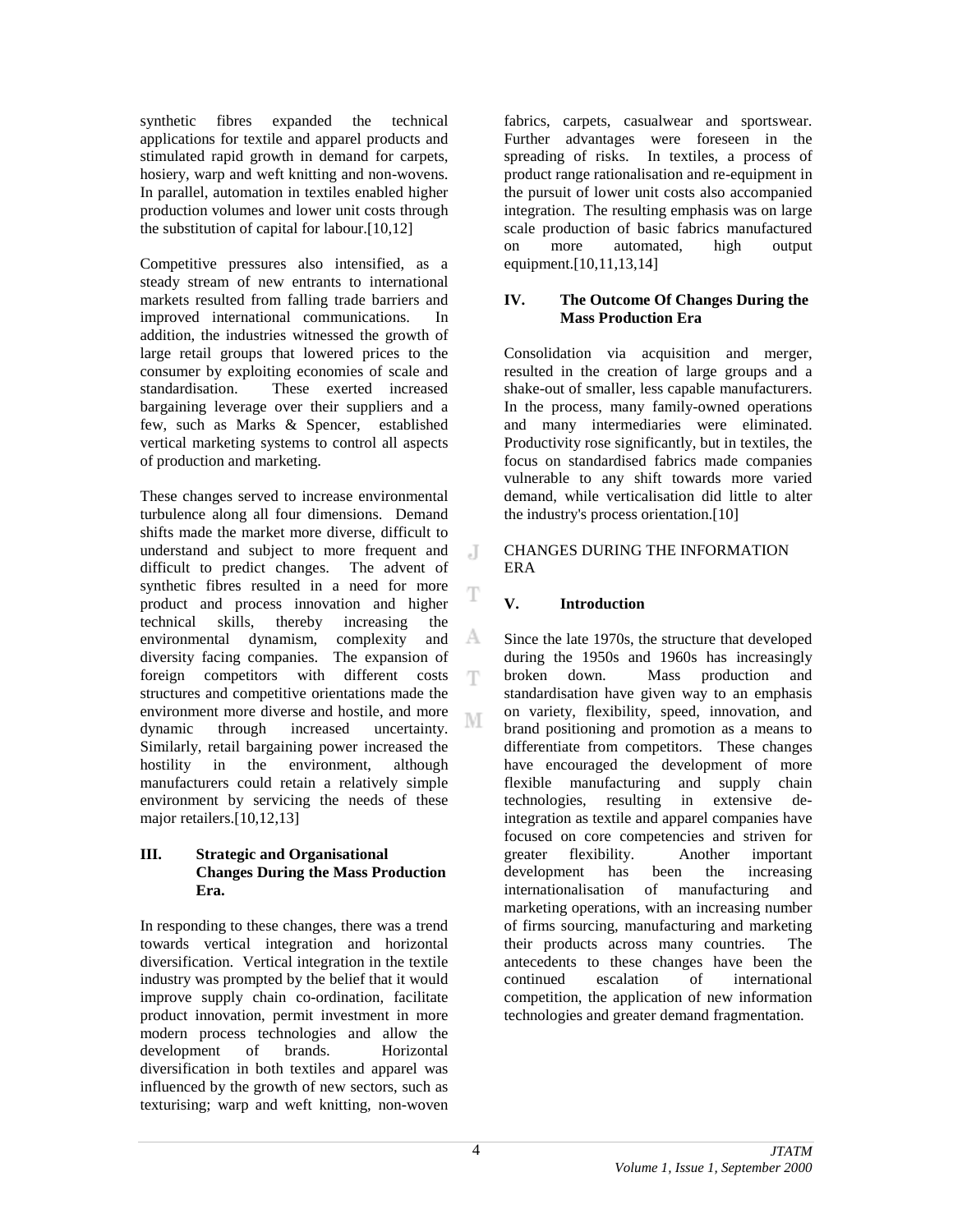synthetic fibres expanded the technical applications for textile and apparel products and stimulated rapid growth in demand for carpets, hosiery, warp and weft knitting and non-wovens. In parallel, automation in textiles enabled higher production volumes and lower unit costs through the substitution of capital for labour.[10,12]

Competitive pressures also intensified, as a steady stream of new entrants to international markets resulted from falling trade barriers and improved international communications. In addition, the industries witnessed the growth of large retail groups that lowered prices to the consumer by exploiting economies of scale and standardisation. These exerted increased bargaining leverage over their suppliers and a few, such as Marks & Spencer, established vertical marketing systems to control all aspects of production and marketing.

These changes served to increase environmental turbulence along all four dimensions. Demand shifts made the market more diverse, difficult to understand and subject to more frequent and difficult to predict changes. The advent of synthetic fibres resulted in a need for more product and process innovation and higher technical skills, thereby increasing the A environmental dynamism, complexity and diversity facing companies. The expansion of foreign competitors with different costs T structures and competitive orientations made the environment more diverse and hostile, and more M dynamic through increased uncertainty. Similarly, retail bargaining power increased the hostility in the environment, although manufacturers could retain a relatively simple environment by servicing the needs of these major retailers.[10,12,13]

#### **III. Strategic and Organisational Changes During the Mass Production Era.**

In responding to these changes, there was a trend towards vertical integration and horizontal diversification. Vertical integration in the textile industry was prompted by the belief that it would improve supply chain co-ordination, facilitate product innovation, permit investment in more modern process technologies and allow the development of brands. Horizontal diversification in both textiles and apparel was influenced by the growth of new sectors, such as texturising; warp and weft knitting, non-woven

fabrics, carpets, casualwear and sportswear. Further advantages were foreseen in the spreading of risks. In textiles, a process of product range rationalisation and re-equipment in the pursuit of lower unit costs also accompanied integration. The resulting emphasis was on large scale production of basic fabrics manufactured on more automated, high output equipment.[10,11,13,14]

#### **IV. The Outcome Of Changes During the Mass Production Era**

Consolidation via acquisition and merger, resulted in the creation of large groups and a shake-out of smaller, less capable manufacturers. In the process, many family-owned operations and many intermediaries were eliminated. Productivity rose significantly, but in textiles, the focus on standardised fabrics made companies vulnerable to any shift towards more varied demand, while verticalisation did little to alter the industry's process orientation.[10]

CHANGES DURING THE INFORMATION ERA

## **V. Introduction**

 $\cdot$ T

T

Since the late 1970s, the structure that developed during the 1950s and 1960s has increasingly broken down. Mass production and standardisation have given way to an emphasis on variety, flexibility, speed, innovation, and brand positioning and promotion as a means to differentiate from competitors. These changes have encouraged the development of more flexible manufacturing and supply chain technologies, resulting in extensive deintegration as textile and apparel companies have focused on core competencies and striven for greater flexibility. Another important development has been the increasing internationalisation of manufacturing and marketing operations, with an increasing number of firms sourcing, manufacturing and marketing their products across many countries. The antecedents to these changes have been the continued escalation of international competition, the application of new information technologies and greater demand fragmentation.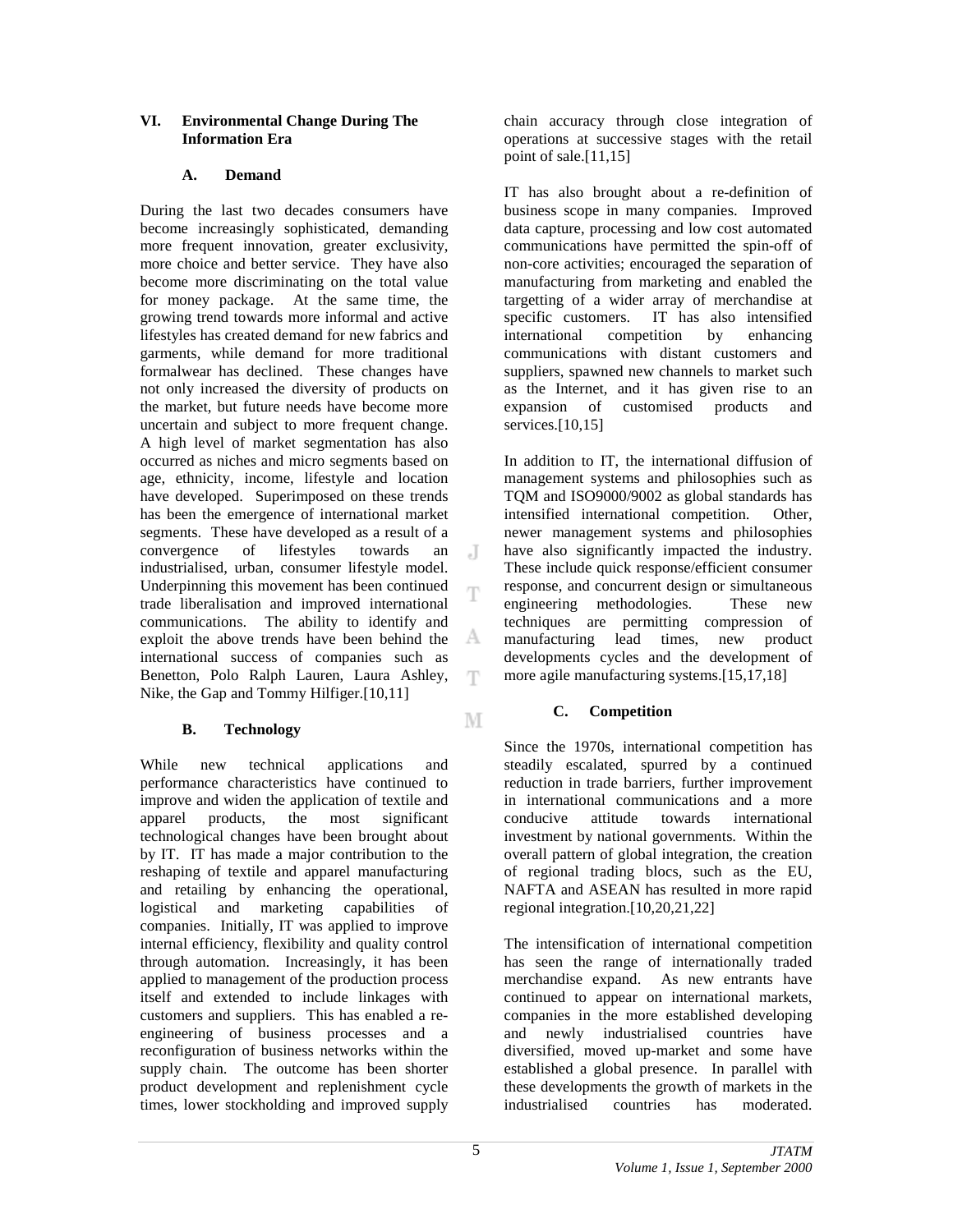## **VI. Environmental Change During The Information Era**

## **A. Demand**

During the last two decades consumers have become increasingly sophisticated, demanding more frequent innovation, greater exclusivity, more choice and better service. They have also become more discriminating on the total value for money package. At the same time, the growing trend towards more informal and active lifestyles has created demand for new fabrics and garments, while demand for more traditional formalwear has declined. These changes have not only increased the diversity of products on the market, but future needs have become more uncertain and subject to more frequent change. A high level of market segmentation has also occurred as niches and micro segments based on age, ethnicity, income, lifestyle and location have developed. Superimposed on these trends has been the emergence of international market segments. These have developed as a result of a convergence of lifestyles towards an  $\overline{J}$ industrialised, urban, consumer lifestyle model. Underpinning this movement has been continued Ŧ trade liberalisation and improved international communications. The ability to identify and A exploit the above trends have been behind the international success of companies such as Benetton, Polo Ralph Lauren, Laura Ashley, Ŧ Nike, the Gap and Tommy Hilfiger.[10,11]

# **B. Technology**

While new technical applications and performance characteristics have continued to improve and widen the application of textile and apparel products, the most significant technological changes have been brought about by IT. IT has made a major contribution to the reshaping of textile and apparel manufacturing and retailing by enhancing the operational, logistical and marketing capabilities of companies. Initially, IT was applied to improve internal efficiency, flexibility and quality control through automation. Increasingly, it has been applied to management of the production process itself and extended to include linkages with customers and suppliers. This has enabled a reengineering of business processes and a reconfiguration of business networks within the supply chain. The outcome has been shorter product development and replenishment cycle times, lower stockholding and improved supply

chain accuracy through close integration of operations at successive stages with the retail point of sale.[11,15]

IT has also brought about a re-definition of business scope in many companies. Improved data capture, processing and low cost automated communications have permitted the spin-off of non-core activities; encouraged the separation of manufacturing from marketing and enabled the targetting of a wider array of merchandise at specific customers. IT has also intensified international competition by enhancing communications with distant customers and suppliers, spawned new channels to market such as the Internet, and it has given rise to an expansion of customised products and services.[10,15]

In addition to IT, the international diffusion of management systems and philosophies such as TQM and ISO9000/9002 as global standards has intensified international competition. Other, newer management systems and philosophies have also significantly impacted the industry. These include quick response/efficient consumer response, and concurrent design or simultaneous engineering methodologies. These new techniques are permitting compression of manufacturing lead times, new product developments cycles and the development of more agile manufacturing systems.[15,17,18]

# **C. Competition**

Since the 1970s, international competition has steadily escalated, spurred by a continued reduction in trade barriers, further improvement in international communications and a more conducive attitude towards international investment by national governments. Within the overall pattern of global integration, the creation of regional trading blocs, such as the EU, NAFTA and ASEAN has resulted in more rapid regional integration.[10,20,21,22]

The intensification of international competition has seen the range of internationally traded merchandise expand. As new entrants have continued to appear on international markets, companies in the more established developing and newly industrialised countries have diversified, moved up-market and some have established a global presence. In parallel with these developments the growth of markets in the industrialised countries has moderated.

M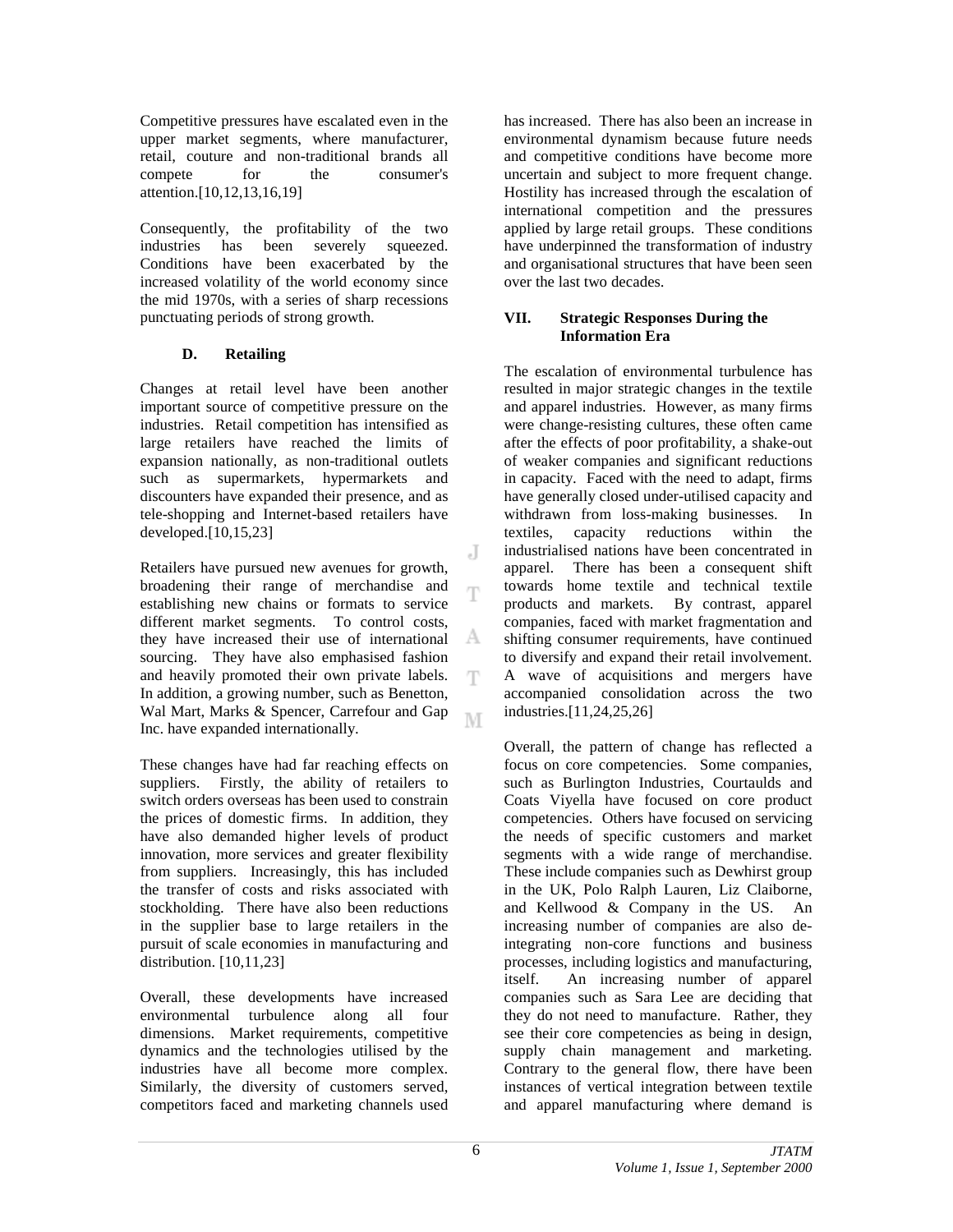Competitive pressures have escalated even in the upper market segments, where manufacturer, retail, couture and non-traditional brands all compete for the consumer's attention.[10,12,13,16,19]

Consequently, the profitability of the two industries has been severely squeezed. Conditions have been exacerbated by the increased volatility of the world economy since the mid 1970s, with a series of sharp recessions punctuating periods of strong growth.

# **D. Retailing**

Changes at retail level have been another important source of competitive pressure on the industries. Retail competition has intensified as large retailers have reached the limits of expansion nationally, as non-traditional outlets such as supermarkets, hypermarkets and discounters have expanded their presence, and as tele-shopping and Internet-based retailers have developed.[10,15,23]

Retailers have pursued new avenues for growth, broadening their range of merchandise and establishing new chains or formats to service different market segments. To control costs, they have increased their use of international sourcing. They have also emphasised fashion and heavily promoted their own private labels. In addition, a growing number, such as Benetton, Wal Mart, Marks & Spencer, Carrefour and Gap M Inc. have expanded internationally.

These changes have had far reaching effects on suppliers. Firstly, the ability of retailers to switch orders overseas has been used to constrain the prices of domestic firms. In addition, they have also demanded higher levels of product innovation, more services and greater flexibility from suppliers. Increasingly, this has included the transfer of costs and risks associated with stockholding. There have also been reductions in the supplier base to large retailers in the pursuit of scale economies in manufacturing and distribution. [10,11,23]

Overall, these developments have increased environmental turbulence along all four dimensions. Market requirements, competitive dynamics and the technologies utilised by the industries have all become more complex. Similarly, the diversity of customers served, competitors faced and marketing channels used

has increased. There has also been an increase in environmental dynamism because future needs and competitive conditions have become more uncertain and subject to more frequent change. Hostility has increased through the escalation of international competition and the pressures applied by large retail groups. These conditions have underpinned the transformation of industry and organisational structures that have been seen over the last two decades.

## **VII. Strategic Responses During the Information Era**

The escalation of environmental turbulence has resulted in major strategic changes in the textile and apparel industries. However, as many firms were change-resisting cultures, these often came after the effects of poor profitability, a shake-out of weaker companies and significant reductions in capacity. Faced with the need to adapt, firms have generally closed under-utilised capacity and withdrawn from loss-making businesses. In textiles, capacity reductions within the industrialised nations have been concentrated in apparel. There has been a consequent shift towards home textile and technical textile products and markets. By contrast, apparel companies, faced with market fragmentation and shifting consumer requirements, have continued to diversify and expand their retail involvement. A wave of acquisitions and mergers have accompanied consolidation across the two industries.[11,24,25,26]

Overall, the pattern of change has reflected a focus on core competencies. Some companies, such as Burlington Industries, Courtaulds and Coats Viyella have focused on core product competencies. Others have focused on servicing the needs of specific customers and market segments with a wide range of merchandise. These include companies such as Dewhirst group in the UK, Polo Ralph Lauren, Liz Claiborne, and Kellwood & Company in the US. An increasing number of companies are also deintegrating non-core functions and business processes, including logistics and manufacturing, itself. An increasing number of apparel companies such as Sara Lee are deciding that they do not need to manufacture. Rather, they see their core competencies as being in design, supply chain management and marketing. Contrary to the general flow, there have been instances of vertical integration between textile and apparel manufacturing where demand is

J

Ŧ

А

T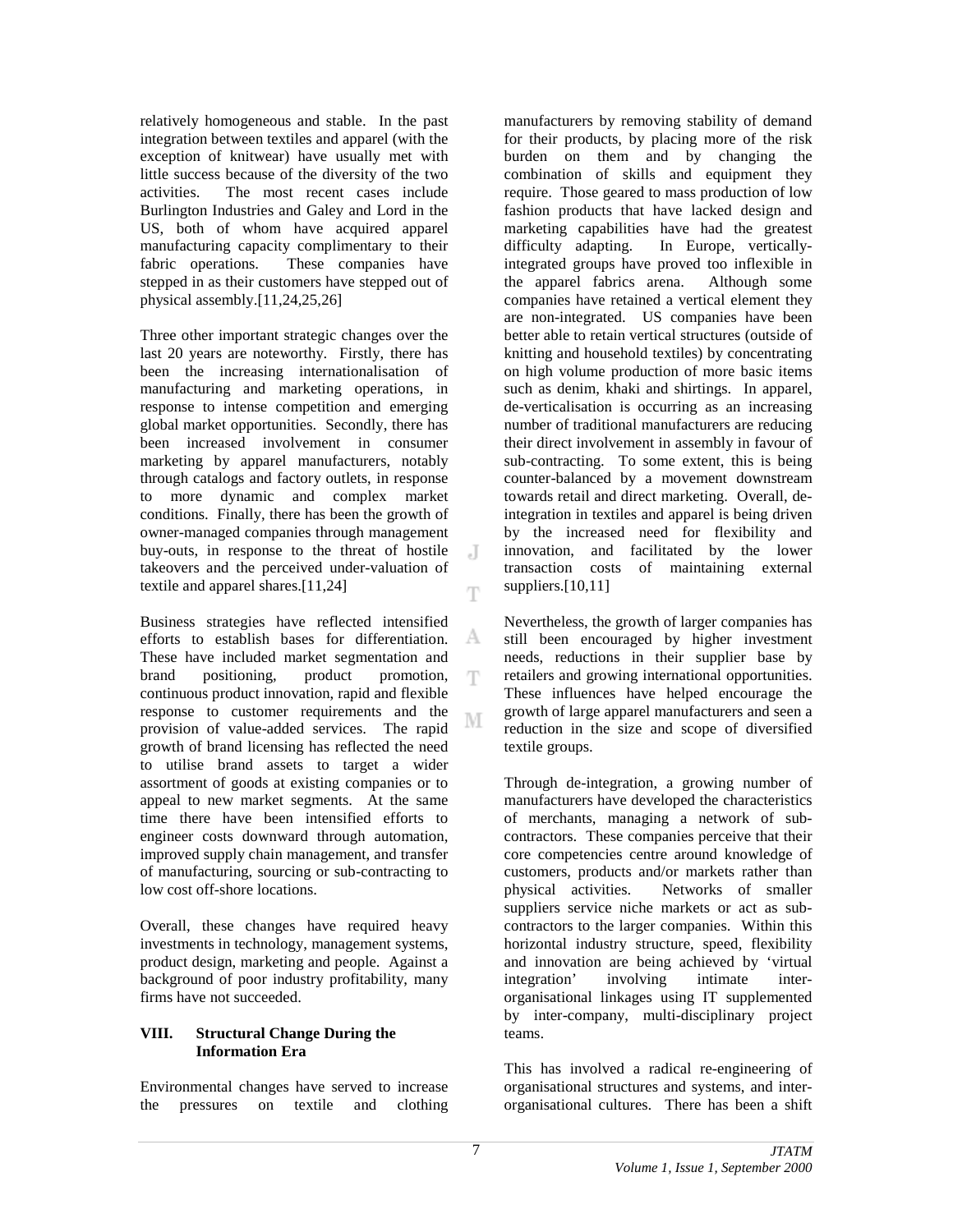relatively homogeneous and stable. In the past integration between textiles and apparel (with the exception of knitwear) have usually met with little success because of the diversity of the two activities. The most recent cases include Burlington Industries and Galey and Lord in the US, both of whom have acquired apparel manufacturing capacity complimentary to their fabric operations. These companies have stepped in as their customers have stepped out of physical assembly.[11,24,25,26]

Three other important strategic changes over the last 20 years are noteworthy. Firstly, there has been the increasing internationalisation of manufacturing and marketing operations, in response to intense competition and emerging global market opportunities. Secondly, there has been increased involvement in consumer marketing by apparel manufacturers, notably through catalogs and factory outlets, in response to more dynamic and complex market conditions. Finally, there has been the growth of owner-managed companies through management buy-outs, in response to the threat of hostile takeovers and the perceived under-valuation of textile and apparel shares.[11,24]

Business strategies have reflected intensified efforts to establish bases for differentiation. These have included market segmentation and brand positioning, product promotion, continuous product innovation, rapid and flexible response to customer requirements and the М provision of value-added services. The rapid growth of brand licensing has reflected the need to utilise brand assets to target a wider assortment of goods at existing companies or to appeal to new market segments. At the same time there have been intensified efforts to engineer costs downward through automation, improved supply chain management, and transfer of manufacturing, sourcing or sub-contracting to low cost off-shore locations.

Overall, these changes have required heavy investments in technology, management systems, product design, marketing and people. Against a background of poor industry profitability, many firms have not succeeded.

## **VIII. Structural Change During the Information Era**

Environmental changes have served to increase the pressures on textile and clothing

manufacturers by removing stability of demand for their products, by placing more of the risk burden on them and by changing the combination of skills and equipment they require. Those geared to mass production of low fashion products that have lacked design and marketing capabilities have had the greatest difficulty adapting. In Europe, verticallyintegrated groups have proved too inflexible in the apparel fabrics arena. Although some companies have retained a vertical element they are non-integrated. US companies have been better able to retain vertical structures (outside of knitting and household textiles) by concentrating on high volume production of more basic items such as denim, khaki and shirtings. In apparel, de-verticalisation is occurring as an increasing number of traditional manufacturers are reducing their direct involvement in assembly in favour of sub-contracting. To some extent, this is being counter-balanced by a movement downstream towards retail and direct marketing. Overall, deintegration in textiles and apparel is being driven by the increased need for flexibility and innovation, and facilitated by the lower transaction costs of maintaining external suppliers.<sup>[10,11]</sup>

Nevertheless, the growth of larger companies has still been encouraged by higher investment needs, reductions in their supplier base by retailers and growing international opportunities. These influences have helped encourage the growth of large apparel manufacturers and seen a reduction in the size and scope of diversified textile groups.

Through de-integration, a growing number of manufacturers have developed the characteristics of merchants, managing a network of subcontractors. These companies perceive that their core competencies centre around knowledge of customers, products and/or markets rather than physical activities. Networks of smaller suppliers service niche markets or act as subcontractors to the larger companies. Within this horizontal industry structure, speed, flexibility and innovation are being achieved by 'virtual integration' involving intimate interorganisational linkages using IT supplemented by inter-company, multi-disciplinary project teams.

This has involved a radical re-engineering of organisational structures and systems, and interorganisational cultures. There has been a shift

 $\cdot$ T

Ŧ

А

T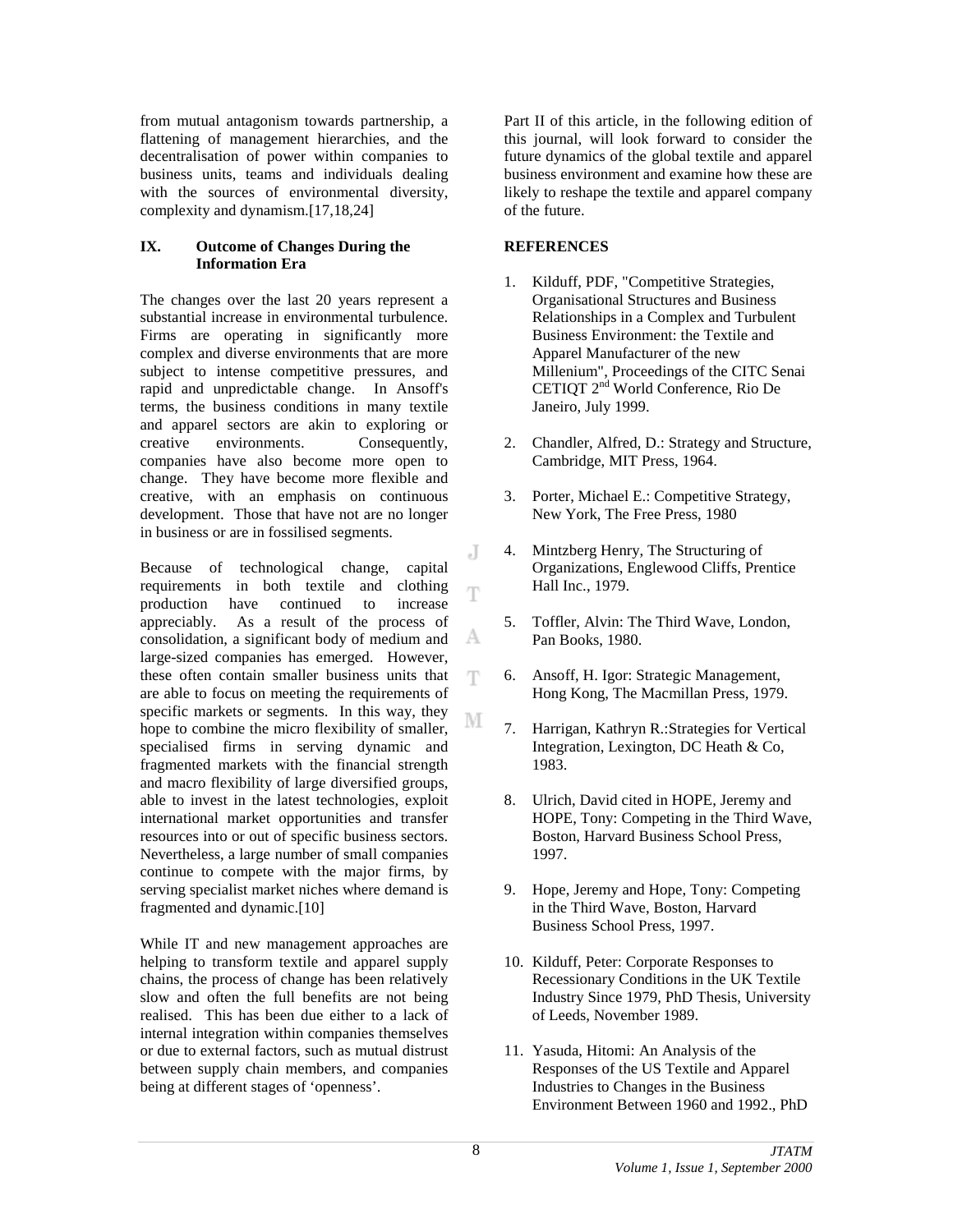from mutual antagonism towards partnership, a flattening of management hierarchies, and the decentralisation of power within companies to business units, teams and individuals dealing with the sources of environmental diversity, complexity and dynamism.[17,18,24]

## **IX. Outcome of Changes During the Information Era**

The changes over the last 20 years represent a substantial increase in environmental turbulence. Firms are operating in significantly more complex and diverse environments that are more subject to intense competitive pressures, and rapid and unpredictable change. In Ansoff's terms, the business conditions in many textile and apparel sectors are akin to exploring or creative environments. Consequently, companies have also become more open to change. They have become more flexible and creative, with an emphasis on continuous development. Those that have not are no longer in business or are in fossilised segments.

Because of technological change, capital requirements in both textile and clothing production have continued to increase appreciably. As a result of the process of consolidation, a significant body of medium and large-sized companies has emerged. However, these often contain smaller business units that are able to focus on meeting the requirements of specific markets or segments. In this way, they hope to combine the micro flexibility of smaller, specialised firms in serving dynamic and fragmented markets with the financial strength and macro flexibility of large diversified groups, able to invest in the latest technologies, exploit international market opportunities and transfer resources into or out of specific business sectors. Nevertheless, a large number of small companies continue to compete with the major firms, by serving specialist market niches where demand is fragmented and dynamic.[10]

While IT and new management approaches are helping to transform textile and apparel supply chains, the process of change has been relatively slow and often the full benefits are not being realised. This has been due either to a lack of internal integration within companies themselves or due to external factors, such as mutual distrust between supply chain members, and companies being at different stages of 'openness'.

Part II of this article, in the following edition of this journal, will look forward to consider the future dynamics of the global textile and apparel business environment and examine how these are likely to reshape the textile and apparel company of the future.

## **REFERENCES**

- 1. Kilduff, PDF, "Competitive Strategies, Organisational Structures and Business Relationships in a Complex and Turbulent Business Environment: the Textile and Apparel Manufacturer of the new Millenium", Proceedings of the CITC Senai CETIQT 2nd World Conference, Rio De Janeiro, July 1999.
- 2. Chandler, Alfred, D.: Strategy and Structure, Cambridge, MIT Press, 1964.
- 3. Porter, Michael E.: Competitive Strategy, New York, The Free Press, 1980
- 4. Mintzberg Henry, The Structuring of Organizations, Englewood Cliffs, Prentice Hall Inc., 1979.
- 5. Toffler, Alvin: The Third Wave, London, Pan Books, 1980.
- 6. Ansoff, H. Igor: Strategic Management, Hong Kong, The Macmillan Press, 1979.
- 7. Harrigan, Kathryn R.:Strategies for Vertical Integration, Lexington, DC Heath & Co, 1983.
- 8. Ulrich, David cited in HOPE, Jeremy and HOPE, Tony: Competing in the Third Wave, Boston, Harvard Business School Press, 1997.
- 9. Hope, Jeremy and Hope, Tony: Competing in the Third Wave, Boston, Harvard Business School Press, 1997.
- 10. Kilduff, Peter: Corporate Responses to Recessionary Conditions in the UK Textile Industry Since 1979, PhD Thesis, University of Leeds, November 1989.
- 11. Yasuda, Hitomi: An Analysis of the Responses of the US Textile and Apparel Industries to Changes in the Business Environment Between 1960 and 1992., PhD

J

Ŧ

А

Ŧ

M